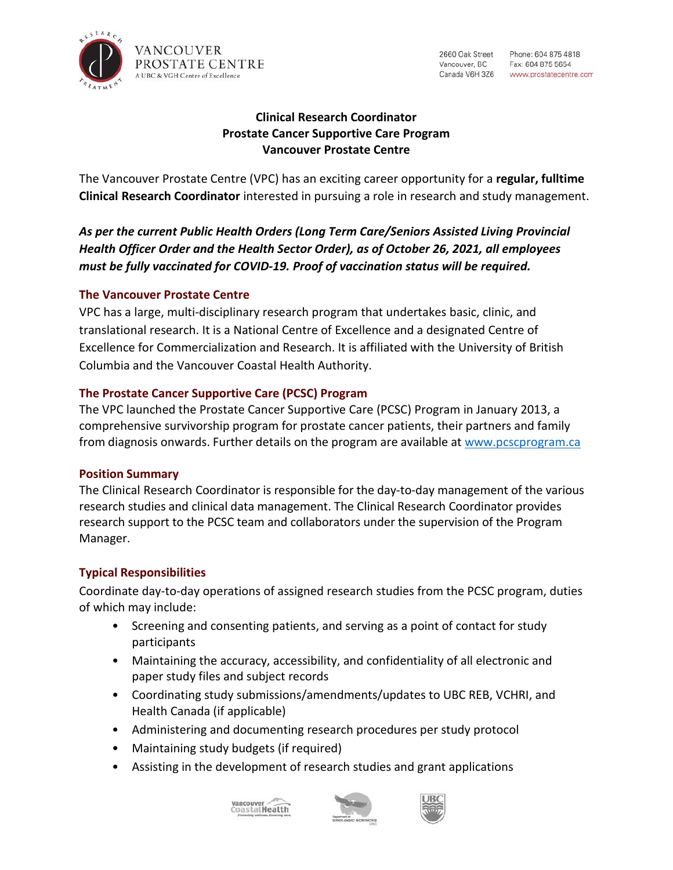

2660 Oak Street Vancouver, BC

# **Clinical Research Coordinator Prostate Cancer Supportive Care Program Vancouver Prostate Centre**

The Vancouver Prostate Centre (VPC) has an exciting career opportunity for a **regular, fulltime Clinical Research Coordinator** interested in pursuing a role in research and study management.

*As per the current Public Health Orders (Long Term Care/Seniors Assisted Living Provincial Health Officer Order and the Health Sector Order), as of October 26, 2021, all employees must be fully vaccinated for COVID-19. Proof of vaccination status will be required.*

## **The Vancouver Prostate Centre**

VPC has a large, multi-disciplinary research program that undertakes basic, clinic, and translational research. It is a National Centre of Excellence and a designated Centre of Excellence for Commercialization and Research. It is affiliated with the University of British Columbia and the Vancouver Coastal Health Authority.

### **The Prostate Cancer Supportive Care (PCSC) Program**

The VPC launched the Prostate Cancer Supportive Care (PCSC) Program in January 2013, a comprehensive survivorship program for prostate cancer patients, their partners and family from diagnosis onwards. Further details on the program are available at [www.pcscprogram.ca](http://www.pcscprogram.ca/)

## **Position Summary**

The Clinical Research Coordinator is responsible for the day-to-day management of the various research studies and clinical data management. The Clinical Research Coordinator provides research support to the PCSC team and collaborators under the supervision of the Program Manager.

## **Typical Responsibilities**

Coordinate day-to-day operations of assigned research studies from the PCSC program, duties of which may include:

- Screening and consenting patients, and serving as a point of contact for study participants
- Maintaining the accuracy, accessibility, and confidentiality of all electronic and paper study files and subject records
- Coordinating study submissions/amendments/updates to UBC REB, VCHRI, and Health Canada (if applicable)
- Administering and documenting research procedures per study protocol
- Maintaining study budgets (if required)
- Assisting in the development of research studies and grant applications



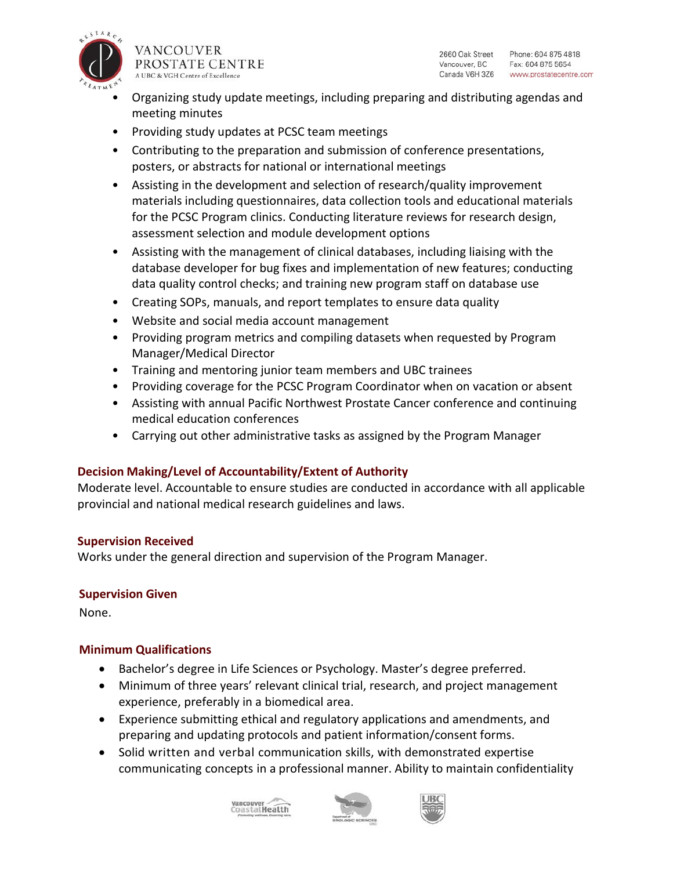

VANCOUVER PROSTATE CENTRE A UBC & VGH Centre of Excellence

2660 Oak Street Phone: 604 875 4818 Vancouver, BC Fax: 604 875 5654 Canada V6H 3Z6 www.prostatecentre.com

- Organizing study update meetings, including preparing and distributing agendas and meeting minutes
- Providing study updates at PCSC team meetings
- Contributing to the preparation and submission of conference presentations, posters, or abstracts for national or international meetings
- Assisting in the development and selection of research/quality improvement materials including questionnaires, data collection tools and educational materials for the PCSC Program clinics. Conducting literature reviews for research design, assessment selection and module development options
- Assisting with the management of clinical databases, including liaising with the database developer for bug fixes and implementation of new features; conducting data quality control checks; and training new program staff on database use
- Creating SOPs, manuals, and report templates to ensure data quality
- Website and social media account management
- Providing program metrics and compiling datasets when requested by Program Manager/Medical Director
- Training and mentoring junior team members and UBC trainees
- Providing coverage for the PCSC Program Coordinator when on vacation or absent
- Assisting with annual Pacific Northwest Prostate Cancer conference and continuing medical education conferences
- Carrying out other administrative tasks as assigned by the Program Manager

## **Decision Making/Level of Accountability/Extent of Authority**

Moderate level. Accountable to ensure studies are conducted in accordance with all applicable provincial and national medical research guidelines and laws.

#### **Supervision Received**

Works under the general direction and supervision of the Program Manager.

#### **Supervision Given**

None.

#### **Minimum Qualifications**

- Bachelor's degree in Life Sciences or Psychology. Master's degree preferred.
- Minimum of three years' relevant clinical trial, research, and project management experience, preferably in a biomedical area.
- Experience submitting ethical and regulatory applications and amendments, and preparing and updating protocols and patient information/consent forms.
- Solid written and verbal communication skills, with demonstrated expertise communicating concepts in a professional manner. Ability to maintain confidentiality